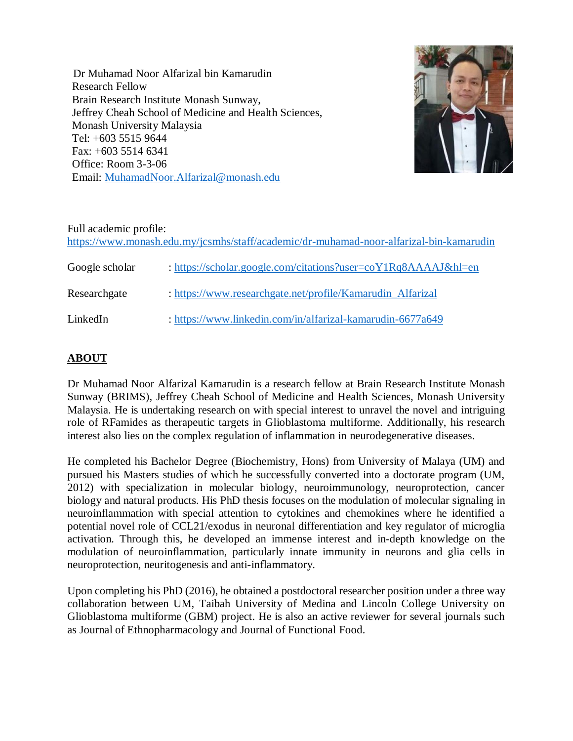Dr Muhamad Noor Alfarizal bin Kamarudin Research Fellow Brain Research Institute Monash Sunway, Jeffrey Cheah School of Medicine and Health Sciences, Monash University Malaysia Tel: +603 5515 9644 Fax: +603 5514 6341 Office: Room 3-3-06 Email: [MuhamadNoor.Alfarizal@monash.edu](mailto:MuhamadNoor.Alfarizal@monash.edu)



#### Full academic profile: <https://www.monash.edu.my/jcsmhs/staff/academic/dr-muhamad-noor-alfarizal-bin-kamarudin>

| Google scholar | : https://scholar.google.com/citations?user=coY1Rq8AAAAJ&hl=en |
|----------------|----------------------------------------------------------------|
| Researchgate   | : https://www.researchgate.net/profile/Kamarudin_Alfarizal     |
| LinkedIn       | : https://www.linkedin.com/in/alfarizal-kamarudin-6677a649     |

# **ABOUT**

Dr Muhamad Noor Alfarizal Kamarudin is a research fellow at Brain Research Institute Monash Sunway (BRIMS), Jeffrey Cheah School of Medicine and Health Sciences, Monash University Malaysia. He is undertaking research on with special interest to unravel the novel and intriguing role of RFamides as therapeutic targets in Glioblastoma multiforme. Additionally, his research interest also lies on the complex regulation of inflammation in neurodegenerative diseases.

He completed his Bachelor Degree (Biochemistry, Hons) from University of Malaya (UM) and pursued his Masters studies of which he successfully converted into a doctorate program (UM, 2012) with specialization in molecular biology, neuroimmunology, neuroprotection, cancer biology and natural products. His PhD thesis focuses on the modulation of molecular signaling in neuroinflammation with special attention to cytokines and chemokines where he identified a potential novel role of CCL21/exodus in neuronal differentiation and key regulator of microglia activation. Through this, he developed an immense interest and in-depth knowledge on the modulation of neuroinflammation, particularly innate immunity in neurons and glia cells in neuroprotection, neuritogenesis and anti-inflammatory.

Upon completing his PhD (2016), he obtained a postdoctoral researcher position under a three way collaboration between UM, Taibah University of Medina and Lincoln College University on Glioblastoma multiforme (GBM) project. He is also an active reviewer for several journals such as Journal of Ethnopharmacology and Journal of Functional Food.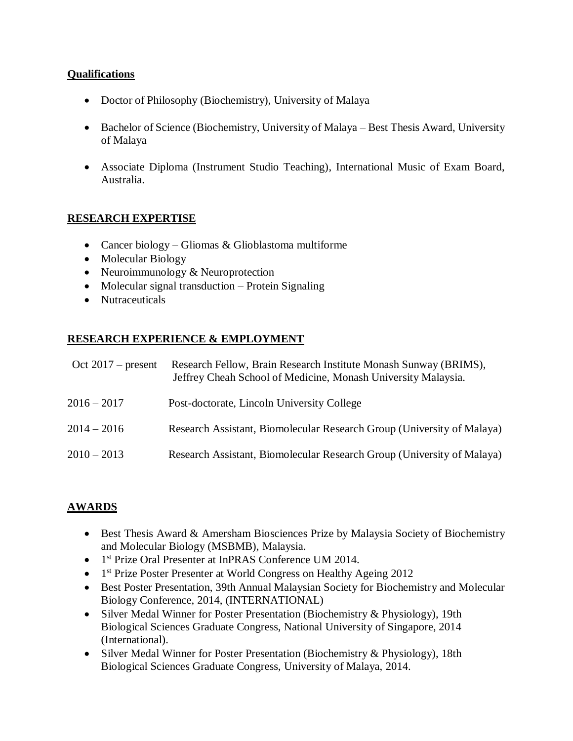## **Qualifications**

- Doctor of Philosophy (Biochemistry), University of Malaya
- Bachelor of Science (Biochemistry, University of Malaya Best Thesis Award, University of Malaya
- Associate Diploma (Instrument Studio Teaching), International Music of Exam Board, Australia.

# **RESEARCH EXPERTISE**

- Cancer biology Gliomas & Glioblastoma multiforme
- Molecular Biology
- Neuroimmunology & Neuroprotection
- $\bullet$  Molecular signal transduction Protein Signaling
- Nutraceuticals

## **RESEARCH EXPERIENCE & EMPLOYMENT**

| Oct $2017$ – present | Research Fellow, Brain Research Institute Monash Sunway (BRIMS),<br>Jeffrey Cheah School of Medicine, Monash University Malaysia. |
|----------------------|-----------------------------------------------------------------------------------------------------------------------------------|
| $2016 - 2017$        | Post-doctorate, Lincoln University College                                                                                        |
| $2014 - 2016$        | Research Assistant, Biomolecular Research Group (University of Malaya)                                                            |
| $2010 - 2013$        | Research Assistant, Biomolecular Research Group (University of Malaya)                                                            |

## **AWARDS**

- Best Thesis Award & Amersham Biosciences Prize by Malaysia Society of Biochemistry and Molecular Biology (MSBMB), Malaysia.
- 1<sup>st</sup> Prize Oral Presenter at InPRAS Conference UM 2014.
- 1<sup>st</sup> Prize Poster Presenter at World Congress on Healthy Ageing 2012
- Best Poster Presentation, 39th Annual Malaysian Society for Biochemistry and Molecular Biology Conference, 2014, (INTERNATIONAL)
- Silver Medal Winner for Poster Presentation (Biochemistry & Physiology), 19th Biological Sciences Graduate Congress, National University of Singapore, 2014 (International).
- Silver Medal Winner for Poster Presentation (Biochemistry & Physiology), 18th Biological Sciences Graduate Congress, University of Malaya, 2014.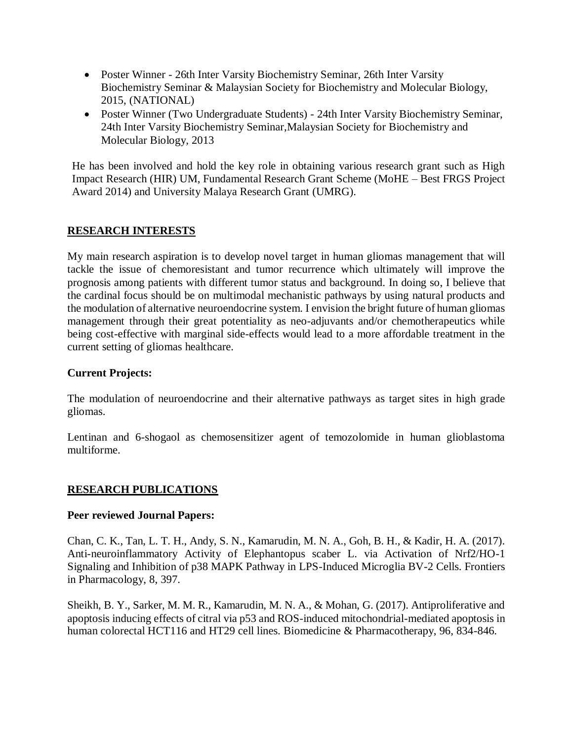- Poster Winner 26th Inter Varsity Biochemistry Seminar, 26th Inter Varsity Biochemistry Seminar & Malaysian Society for Biochemistry and Molecular Biology, 2015, (NATIONAL)
- Poster Winner (Two Undergraduate Students) 24th Inter Varsity Biochemistry Seminar, 24th Inter Varsity Biochemistry Seminar,Malaysian Society for Biochemistry and Molecular Biology, 2013

He has been involved and hold the key role in obtaining various research grant such as High Impact Research (HIR) UM, Fundamental Research Grant Scheme (MoHE – Best FRGS Project Award 2014) and University Malaya Research Grant (UMRG).

### **RESEARCH INTERESTS**

My main research aspiration is to develop novel target in human gliomas management that will tackle the issue of chemoresistant and tumor recurrence which ultimately will improve the prognosis among patients with different tumor status and background. In doing so, I believe that the cardinal focus should be on multimodal mechanistic pathways by using natural products and the modulation of alternative neuroendocrine system. I envision the bright future of human gliomas management through their great potentiality as neo-adjuvants and/or chemotherapeutics while being cost-effective with marginal side-effects would lead to a more affordable treatment in the current setting of gliomas healthcare.

#### **Current Projects:**

The modulation of neuroendocrine and their alternative pathways as target sites in high grade gliomas.

Lentinan and 6-shogaol as chemosensitizer agent of temozolomide in human glioblastoma multiforme.

#### **RESEARCH PUBLICATIONS**

#### **Peer reviewed Journal Papers:**

Chan, C. K., Tan, L. T. H., Andy, S. N., Kamarudin, M. N. A., Goh, B. H., & Kadir, H. A. (2017). Anti-neuroinflammatory Activity of Elephantopus scaber L. via Activation of Nrf2/HO-1 Signaling and Inhibition of p38 MAPK Pathway in LPS-Induced Microglia BV-2 Cells. Frontiers in Pharmacology, 8, 397.

Sheikh, B. Y., Sarker, M. M. R., Kamarudin, M. N. A., & Mohan, G. (2017). Antiproliferative and apoptosis inducing effects of citral via p53 and ROS-induced mitochondrial-mediated apoptosis in human colorectal HCT116 and HT29 cell lines. Biomedicine & Pharmacotherapy, 96, 834-846.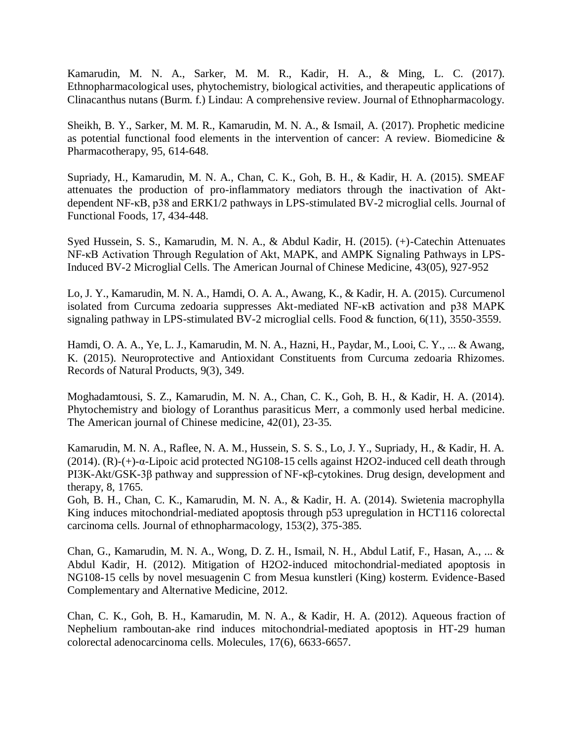Kamarudin, M. N. A., Sarker, M. M. R., Kadir, H. A., & Ming, L. C. (2017). Ethnopharmacological uses, phytochemistry, biological activities, and therapeutic applications of Clinacanthus nutans (Burm. f.) Lindau: A comprehensive review. Journal of Ethnopharmacology.

Sheikh, B. Y., Sarker, M. M. R., Kamarudin, M. N. A., & Ismail, A. (2017). Prophetic medicine as potential functional food elements in the intervention of cancer: A review. Biomedicine & Pharmacotherapy, 95, 614-648.

Supriady, H., Kamarudin, M. N. A., Chan, C. K., Goh, B. H., & Kadir, H. A. (2015). SMEAF attenuates the production of pro-inflammatory mediators through the inactivation of Aktdependent NF-κB, p38 and ERK1/2 pathways in LPS-stimulated BV-2 microglial cells. Journal of Functional Foods, 17, 434-448.

Syed Hussein, S. S., Kamarudin, M. N. A., & Abdul Kadir, H. (2015). (+)-Catechin Attenuates NF-κB Activation Through Regulation of Akt, MAPK, and AMPK Signaling Pathways in LPS-Induced BV-2 Microglial Cells. The American Journal of Chinese Medicine, 43(05), 927-952

Lo, J. Y., Kamarudin, M. N. A., Hamdi, O. A. A., Awang, K., & Kadir, H. A. (2015). Curcumenol isolated from Curcuma zedoaria suppresses Akt-mediated NF-κB activation and p38 MAPK signaling pathway in LPS-stimulated BV-2 microglial cells. Food & function, 6(11), 3550-3559.

Hamdi, O. A. A., Ye, L. J., Kamarudin, M. N. A., Hazni, H., Paydar, M., Looi, C. Y., ... & Awang, K. (2015). Neuroprotective and Antioxidant Constituents from Curcuma zedoaria Rhizomes. Records of Natural Products, 9(3), 349.

Moghadamtousi, S. Z., Kamarudin, M. N. A., Chan, C. K., Goh, B. H., & Kadir, H. A. (2014). Phytochemistry and biology of Loranthus parasiticus Merr, a commonly used herbal medicine. The American journal of Chinese medicine, 42(01), 23-35.

Kamarudin, M. N. A., Raflee, N. A. M., Hussein, S. S. S., Lo, J. Y., Supriady, H., & Kadir, H. A. (2014). (R)-(+)-α-Lipoic acid protected NG108-15 cells against H2O2-induced cell death through PI3K-Akt/GSK-3β pathway and suppression of NF-κβ-cytokines. Drug design, development and therapy, 8, 1765.

Goh, B. H., Chan, C. K., Kamarudin, M. N. A., & Kadir, H. A. (2014). Swietenia macrophylla King induces mitochondrial-mediated apoptosis through p53 upregulation in HCT116 colorectal carcinoma cells. Journal of ethnopharmacology, 153(2), 375-385.

Chan, G., Kamarudin, M. N. A., Wong, D. Z. H., Ismail, N. H., Abdul Latif, F., Hasan, A., ... & Abdul Kadir, H. (2012). Mitigation of H2O2-induced mitochondrial-mediated apoptosis in NG108-15 cells by novel mesuagenin C from Mesua kunstleri (King) kosterm. Evidence-Based Complementary and Alternative Medicine, 2012.

Chan, C. K., Goh, B. H., Kamarudin, M. N. A., & Kadir, H. A. (2012). Aqueous fraction of Nephelium ramboutan-ake rind induces mitochondrial-mediated apoptosis in HT-29 human colorectal adenocarcinoma cells. Molecules, 17(6), 6633-6657.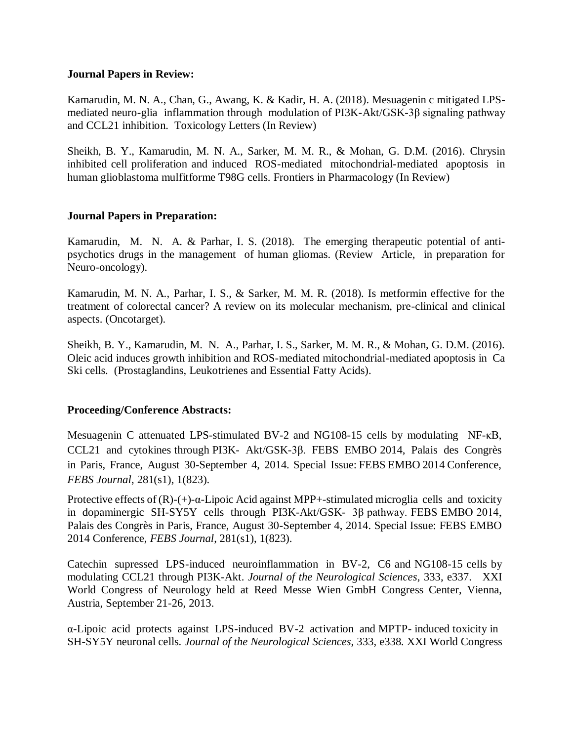#### **Journal Papers in Review:**

Kamarudin, M. N. A., Chan, G., Awang, K. & Kadir, H. A. (2018). Mesuagenin c mitigated LPSmediated neuro-glia inflammation through modulation of PI3K-Akt/GSK-3β signaling pathway and CCL21 inhibition. Toxicology Letters (In Review)

Sheikh, B. Y., Kamarudin, M. N. A., Sarker, M. M. R., & Mohan, G. D.M. (2016). Chrysin inhibited cell proliferation and induced ROS-mediated mitochondrial-mediated apoptosis in human glioblastoma mulfitforme T98G cells. Frontiers in Pharmacology (In Review)

## **Journal Papers in Preparation:**

Kamarudin, M. N. A. & Parhar, I. S. (2018). The emerging therapeutic potential of antipsychotics drugs in the management of human gliomas. (Review Article, in preparation for Neuro-oncology).

Kamarudin, M. N. A., Parhar, I. S., & Sarker, M. M. R. (2018). Is metformin effective for the treatment of colorectal cancer? A review on its molecular mechanism, pre-clinical and clinical aspects. (Oncotarget).

Sheikh, B. Y., Kamarudin, M. N. A., Parhar, I. S., Sarker, M. M. R., & Mohan, G. D.M. (2016). Oleic acid induces growth inhibition and ROS-mediated mitochondrial-mediated apoptosis in Ca Ski cells. (Prostaglandins, Leukotrienes and Essential Fatty Acids).

#### **Proceeding/Conference Abstracts:**

Mesuagenin C attenuated LPS-stimulated BV-2 and NG108-15 cells by modulating NF-κB, CCL21 and cytokines through PI3K- Akt/GSK-3β. FEBS EMBO 2014, Palais des Congrès in Paris, France, August 30-September 4, 2014. Special Issue: FEBS EMBO 2014 Conference, *FEBS Journal*, 281(s1), 1(823).

Protective effects of  $(R)$ - $(+)$ - $\alpha$ -Lipoic Acid against MPP+-stimulated microglia cells and toxicity in dopaminergic SH-SY5Y cells through PI3K-Akt/GSK- 3β pathway. FEBS EMBO 2014, Palais des Congrès in Paris, France, August 30-September 4, 2014. Special Issue: FEBS EMBO 2014 Conference, *FEBS Journal*, 281(s1), 1(823).

Catechin supressed LPS-induced neuroinflammation in BV-2, C6 and NG108-15 cells by modulating CCL21 through PI3K-Akt. *Journal of the Neurological Sciences*, 333, e337. XXI World Congress of Neurology held at Reed Messe Wien GmbH Congress Center, Vienna, Austria, September 21-26, 2013.

α-Lipoic acid protects against LPS-induced BV-2 activation and MPTP- induced toxicity in SH-SY5Y neuronal cells. *Journal of the Neurological Sciences*, 333, e338. XXI World Congress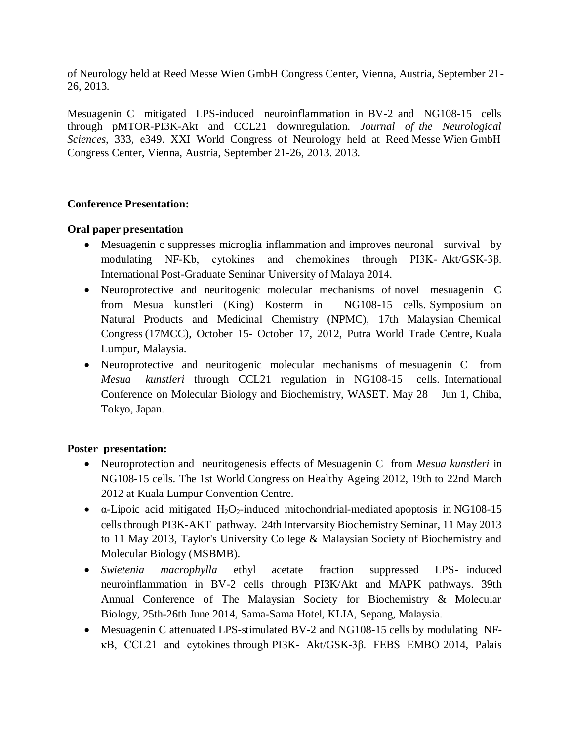of Neurology held at Reed Messe Wien GmbH Congress Center, Vienna, Austria, September 21- 26, 2013.

Mesuagenin C mitigated LPS-induced neuroinflammation in BV-2 and NG108-15 cells through pMTOR-PI3K-Akt and CCL21 downregulation. *Journal of the Neurological Sciences*, 333, e349. XXI World Congress of Neurology held at Reed Messe Wien GmbH Congress Center, Vienna, Austria, September 21-26, 2013. 2013.

### **Conference Presentation:**

#### **Oral paper presentation**

- Mesuagenin c suppresses microglia inflammation and improves neuronal survival by modulating NF-Κb, cytokines and chemokines through PI3K- Akt/GSK-3β. International Post-Graduate Seminar University of Malaya 2014.
- Neuroprotective and neuritogenic molecular mechanisms of novel mesuagenin C from Mesua kunstleri (King) Kosterm in NG108-15 cells. Symposium on Natural Products and Medicinal Chemistry (NPMC), 17th Malaysian Chemical Congress (17MCC), October 15- October 17, 2012, Putra World Trade Centre, Kuala Lumpur, Malaysia.
- Neuroprotective and neuritogenic molecular mechanisms of mesuagenin C from *Mesua kunstleri* through CCL21 regulation in NG108-15 cells. International Conference on Molecular Biology and Biochemistry, WASET. May 28 – Jun 1, Chiba, Tokyo, Japan.

#### **Poster presentation:**

- Neuroprotection and neuritogenesis effects of Mesuagenin C from *Mesua kunstleri* in NG108-15 cells. The 1st World Congress on Healthy Ageing 2012, 19th to 22nd March 2012 at Kuala Lumpur Convention Centre.
- $\alpha$ -Lipoic acid mitigated H<sub>2</sub>O<sub>2</sub>-induced mitochondrial-mediated apoptosis in NG108-15 cells through PI3K-AKT pathway. 24th Intervarsity Biochemistry Seminar, 11 May 2013 to 11 May 2013, Taylor's University College & Malaysian Society of Biochemistry and Molecular Biology (MSBMB).
- *Swietenia macrophylla* ethyl acetate fraction suppressed LPS- induced neuroinflammation in BV-2 cells through PI3K/Akt and MAPK pathways. 39th Annual Conference of The Malaysian Society for Biochemistry & Molecular Biology, 25th-26th June 2014, Sama-Sama Hotel, KLIA, Sepang, Malaysia.
- Mesuagenin C attenuated LPS-stimulated BV-2 and NG108-15 cells by modulating NFκB, CCL21 and cytokines through PI3K- Akt/GSK-3β. FEBS EMBO 2014, Palais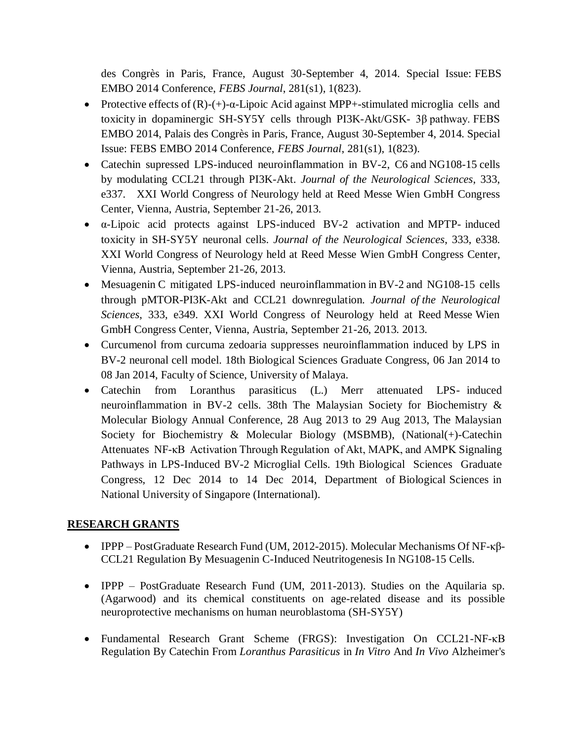des Congrès in Paris, France, August 30-September 4, 2014. Special Issue: FEBS EMBO 2014 Conference, *FEBS Journal*, 281(s1), 1(823).

- Protective effects of  $(R)-(+)$ - $\alpha$ -Lipoic Acid against MPP+-stimulated microglia cells and toxicity in dopaminergic SH-SY5Y cells through PI3K-Akt/GSK- 3β pathway. FEBS EMBO 2014, Palais des Congrès in Paris, France, August 30-September 4, 2014. Special Issue: FEBS EMBO 2014 Conference, *FEBS Journal*, 281(s1), 1(823).
- Catechin supressed LPS-induced neuroinflammation in BV-2, C6 and NG108-15 cells by modulating CCL21 through PI3K-Akt. *Journal of the Neurological Sciences*, 333, e337. XXI World Congress of Neurology held at Reed Messe Wien GmbH Congress Center, Vienna, Austria, September 21-26, 2013.
- α-Lipoic acid protects against LPS-induced BV-2 activation and MPTP- induced toxicity in SH-SY5Y neuronal cells. *Journal of the Neurological Sciences*, 333, e338. XXI World Congress of Neurology held at Reed Messe Wien GmbH Congress Center, Vienna, Austria, September 21-26, 2013.
- Mesuagenin C mitigated LPS-induced neuroinflammation in BV-2 and NG108-15 cells through pMTOR-PI3K-Akt and CCL21 downregulation. *Journal of the Neurological Sciences*, 333, e349. XXI World Congress of Neurology held at Reed Messe Wien GmbH Congress Center, Vienna, Austria, September 21-26, 2013. 2013.
- Curcumenol from curcuma zedoaria suppresses neuroinflammation induced by LPS in BV-2 neuronal cell model. 18th Biological Sciences Graduate Congress, 06 Jan 2014 to 08 Jan 2014, Faculty of Science, University of Malaya.
- Catechin from Loranthus parasiticus (L.) Merr attenuated LPS- induced neuroinflammation in BV-2 cells. 38th The Malaysian Society for Biochemistry & Molecular Biology Annual Conference, 28 Aug 2013 to 29 Aug 2013, The Malaysian Society for Biochemistry & Molecular Biology (MSBMB), (National(+)-Catechin Attenuates NF-κB Activation Through Regulation of Akt, MAPK, and AMPK Signaling Pathways in LPS-Induced BV-2 Microglial Cells. 19th Biological Sciences Graduate Congress, 12 Dec 2014 to 14 Dec 2014, Department of Biological Sciences in National University of Singapore (International).

# **RESEARCH GRANTS**

- IPPP PostGraduate Research Fund (UM, 2012-2015). Molecular Mechanisms Of NF-κβ-CCL21 Regulation By Mesuagenin C-Induced Neutritogenesis In NG108-15 Cells.
- IPPP PostGraduate Research Fund (UM, 2011-2013). Studies on the Aquilaria sp. (Agarwood) and its chemical constituents on age-related disease and its possible neuroprotective mechanisms on human neuroblastoma (SH-SY5Y)
- Fundamental Research Grant Scheme (FRGS): Investigation On CCL21-NF-κB Regulation By Catechin From *Loranthus Parasiticus* in *In Vitro* And *In Vivo* Alzheimer's